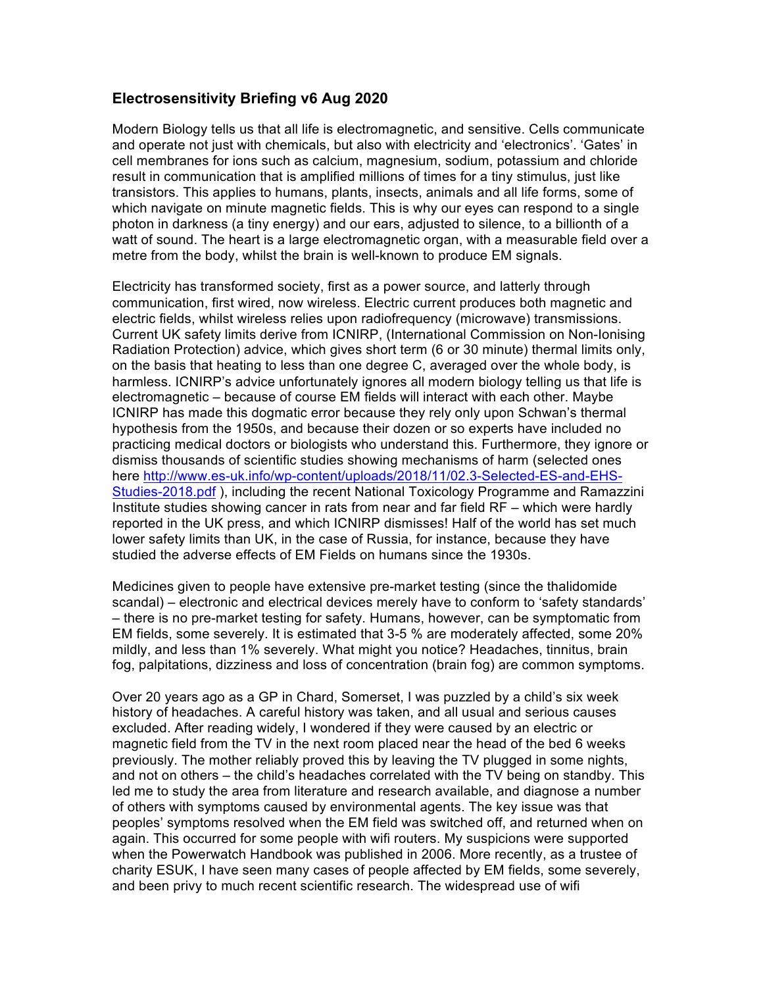## **Electrosensitivity Briefing v6 Aug 2020**

Modern Biology tells us that all life is electromagnetic, and sensitive. Cells communicate and operate not just with chemicals, but also with electricity and 'electronics'. 'Gates' in cell membranes for ions such as calcium, magnesium, sodium, potassium and chloride result in communication that is amplified millions of times for a tiny stimulus, just like transistors. This applies to humans, plants, insects, animals and all life forms, some of which navigate on minute magnetic fields. This is why our eyes can respond to a single photon in darkness (a tiny energy) and our ears, adjusted to silence, to a billionth of a watt of sound. The heart is a large electromagnetic organ, with a measurable field over a metre from the body, whilst the brain is well-known to produce EM signals.

Electricity has transformed society, first as a power source, and latterly through communication, first wired, now wireless. Electric current produces both magnetic and electric fields, whilst wireless relies upon radiofrequency (microwave) transmissions. Current UK safety limits derive from ICNIRP, (International Commission on Non-Ionising Radiation Protection) advice, which gives short term (6 or 30 minute) thermal limits only, on the basis that heating to less than one degree C, averaged over the whole body, is harmless. ICNIRP's advice unfortunately ignores all modern biology telling us that life is electromagnetic – because of course EM fields will interact with each other. Maybe ICNIRP has made this dogmatic error because they rely only upon Schwan's thermal hypothesis from the 1950s, and because their dozen or so experts have included no practicing medical doctors or biologists who understand this. Furthermore, they ignore or dismiss thousands of scientific studies showing mechanisms of harm (selected ones here http://www.es-uk.info/wp-content/uploads/2018/11/02.3-Selected-ES-and-EHS-Studies-2018.pdf ), including the recent National Toxicology Programme and Ramazzini Institute studies showing cancer in rats from near and far field RF – which were hardly reported in the UK press, and which ICNIRP dismisses! Half of the world has set much lower safety limits than UK, in the case of Russia, for instance, because they have studied the adverse effects of EM Fields on humans since the 1930s.

Medicines given to people have extensive pre-market testing (since the thalidomide scandal) – electronic and electrical devices merely have to conform to 'safety standards' – there is no pre-market testing for safety. Humans, however, can be symptomatic from EM fields, some severely. It is estimated that 3-5 % are moderately affected, some 20% mildly, and less than 1% severely. What might you notice? Headaches, tinnitus, brain fog, palpitations, dizziness and loss of concentration (brain fog) are common symptoms.

Over 20 years ago as a GP in Chard, Somerset, I was puzzled by a child's six week history of headaches. A careful history was taken, and all usual and serious causes excluded. After reading widely, I wondered if they were caused by an electric or magnetic field from the TV in the next room placed near the head of the bed 6 weeks previously. The mother reliably proved this by leaving the TV plugged in some nights, and not on others – the child's headaches correlated with the TV being on standby. This led me to study the area from literature and research available, and diagnose a number of others with symptoms caused by environmental agents. The key issue was that peoples' symptoms resolved when the EM field was switched off, and returned when on again. This occurred for some people with wifi routers. My suspicions were supported when the Powerwatch Handbook was published in 2006. More recently, as a trustee of charity ESUK, I have seen many cases of people affected by EM fields, some severely, and been privy to much recent scientific research. The widespread use of wifi